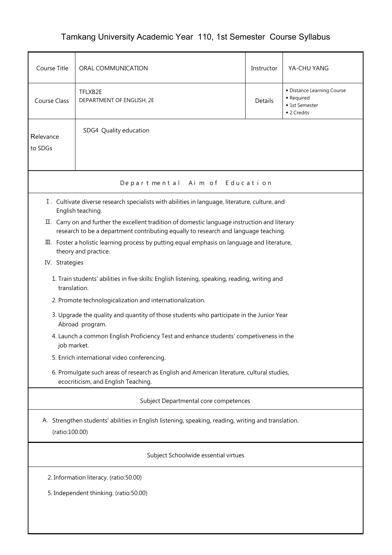## Tamkang University Academic Year 110, 1st Semester Course Syllabus

| Course Title                                                                                                          | ORAL COMMUNICATION                                                                                                                                                                    | Instructor | YA-CHU YANG                                                               |  |  |  |  |
|-----------------------------------------------------------------------------------------------------------------------|---------------------------------------------------------------------------------------------------------------------------------------------------------------------------------------|------------|---------------------------------------------------------------------------|--|--|--|--|
| Course Class                                                                                                          | TFLXB2E<br>DEPARTMENT OF ENGLISH, 2E                                                                                                                                                  | Details    | • Distance Learning Course<br>• Required<br>◆ 1st Semester<br>◆ 2 Credits |  |  |  |  |
| Relevance<br>to SDGs                                                                                                  | SDG4 Quality education                                                                                                                                                                |            |                                                                           |  |  |  |  |
| Departmental Aim of Education                                                                                         |                                                                                                                                                                                       |            |                                                                           |  |  |  |  |
|                                                                                                                       | I. Cultivate diverse research specialists with abilities in language, literature, culture, and<br>English teaching.                                                                   |            |                                                                           |  |  |  |  |
|                                                                                                                       | II. Carry on and further the excellent tradition of domestic language instruction and literary<br>research to be a department contributing equally to research and language teaching. |            |                                                                           |  |  |  |  |
|                                                                                                                       | III. Foster a holistic learning process by putting equal emphasis on language and literature,<br>theory and practice.                                                                 |            |                                                                           |  |  |  |  |
| IV. Strategies                                                                                                        |                                                                                                                                                                                       |            |                                                                           |  |  |  |  |
| translation.                                                                                                          | 1. Train students' abilities in five skills: English listening, speaking, reading, writing and                                                                                        |            |                                                                           |  |  |  |  |
|                                                                                                                       | 2. Promote technologicalization and internationalization.                                                                                                                             |            |                                                                           |  |  |  |  |
|                                                                                                                       | 3. Upgrade the quality and quantity of those students who participate in the Junior Year<br>Abroad program.                                                                           |            |                                                                           |  |  |  |  |
|                                                                                                                       | 4. Launch a common English Proficiency Test and enhance students' competiveness in the<br>job market.                                                                                 |            |                                                                           |  |  |  |  |
|                                                                                                                       | 5. Enrich international video conferencing.                                                                                                                                           |            |                                                                           |  |  |  |  |
|                                                                                                                       | 6. Promulgate such areas of research as English and American literature, cultural studies,<br>ecocriticism, and English Teaching.                                                     |            |                                                                           |  |  |  |  |
| Subject Departmental core competences                                                                                 |                                                                                                                                                                                       |            |                                                                           |  |  |  |  |
| A. Strengthen students' abilities in English listening, speaking, reading, writing and translation.<br>(ratio:100.00) |                                                                                                                                                                                       |            |                                                                           |  |  |  |  |
| Subject Schoolwide essential virtues                                                                                  |                                                                                                                                                                                       |            |                                                                           |  |  |  |  |
| 2. Information literacy. (ratio:50.00)                                                                                |                                                                                                                                                                                       |            |                                                                           |  |  |  |  |
| 5. Independent thinking. (ratio:50.00)                                                                                |                                                                                                                                                                                       |            |                                                                           |  |  |  |  |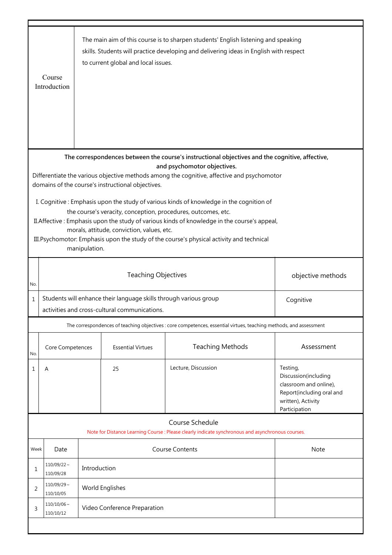|                                                                                                                                                                                                                                                                                                                                                                                                                                                                                                                                               | Course<br>Introduction                                                                                                          |                                                 | to current global and local issues. | The main aim of this course is to sharpen students' English listening and speaking<br>skills. Students will practice developing and delivering ideas in English with respect |                                                                                                                                |  |
|-----------------------------------------------------------------------------------------------------------------------------------------------------------------------------------------------------------------------------------------------------------------------------------------------------------------------------------------------------------------------------------------------------------------------------------------------------------------------------------------------------------------------------------------------|---------------------------------------------------------------------------------------------------------------------------------|-------------------------------------------------|-------------------------------------|------------------------------------------------------------------------------------------------------------------------------------------------------------------------------|--------------------------------------------------------------------------------------------------------------------------------|--|
| The correspondences between the course's instructional objectives and the cognitive, affective,<br>and psychomotor objectives.<br>Differentiate the various objective methods among the cognitive, affective and psychomotor<br>domains of the course's instructional objectives.<br>I. Cognitive: Emphasis upon the study of various kinds of knowledge in the cognition of<br>the course's veracity, conception, procedures, outcomes, etc.<br>II. Affective: Emphasis upon the study of various kinds of knowledge in the course's appeal, |                                                                                                                                 |                                                 |                                     |                                                                                                                                                                              |                                                                                                                                |  |
| morals, attitude, conviction, values, etc.<br>III. Psychomotor: Emphasis upon the study of the course's physical activity and technical<br>manipulation.                                                                                                                                                                                                                                                                                                                                                                                      |                                                                                                                                 |                                                 |                                     |                                                                                                                                                                              |                                                                                                                                |  |
| No.                                                                                                                                                                                                                                                                                                                                                                                                                                                                                                                                           |                                                                                                                                 | <b>Teaching Objectives</b><br>objective methods |                                     |                                                                                                                                                                              |                                                                                                                                |  |
| $\mathbf 1$                                                                                                                                                                                                                                                                                                                                                                                                                                                                                                                                   | Students will enhance their language skills through various group<br>Cognitive<br>activities and cross-cultural communications. |                                                 |                                     |                                                                                                                                                                              |                                                                                                                                |  |
|                                                                                                                                                                                                                                                                                                                                                                                                                                                                                                                                               |                                                                                                                                 |                                                 |                                     | The correspondences of teaching objectives : core competences, essential virtues, teaching methods, and assessment                                                           |                                                                                                                                |  |
| No.                                                                                                                                                                                                                                                                                                                                                                                                                                                                                                                                           | Core Competences                                                                                                                |                                                 | <b>Essential Virtues</b>            | <b>Teaching Methods</b>                                                                                                                                                      | Assessment                                                                                                                     |  |
| 1                                                                                                                                                                                                                                                                                                                                                                                                                                                                                                                                             | A                                                                                                                               |                                                 | 25                                  | Lecture, Discussion                                                                                                                                                          | Testing,<br>Discussion(including<br>classroom and online),<br>Report(including oral and<br>written), Activity<br>Participation |  |
|                                                                                                                                                                                                                                                                                                                                                                                                                                                                                                                                               |                                                                                                                                 |                                                 |                                     | Course Schedule                                                                                                                                                              |                                                                                                                                |  |
| Note for Distance Learning Course : Please clearly indicate synchronous and asynchronous courses.                                                                                                                                                                                                                                                                                                                                                                                                                                             |                                                                                                                                 |                                                 |                                     |                                                                                                                                                                              |                                                                                                                                |  |
| Week                                                                                                                                                                                                                                                                                                                                                                                                                                                                                                                                          | Date<br>$110/09/22$ ~                                                                                                           |                                                 |                                     | <b>Course Contents</b>                                                                                                                                                       | Note                                                                                                                           |  |
| 1                                                                                                                                                                                                                                                                                                                                                                                                                                                                                                                                             | 110/09/28                                                                                                                       | Introduction                                    |                                     |                                                                                                                                                                              |                                                                                                                                |  |
| 2                                                                                                                                                                                                                                                                                                                                                                                                                                                                                                                                             | $110/09/29 \sim$<br>110/10/05                                                                                                   | World Englishes                                 |                                     |                                                                                                                                                                              |                                                                                                                                |  |
| 3                                                                                                                                                                                                                                                                                                                                                                                                                                                                                                                                             | $110/10/06 \sim$<br>110/10/12                                                                                                   | Video Conference Preparation                    |                                     |                                                                                                                                                                              |                                                                                                                                |  |
|                                                                                                                                                                                                                                                                                                                                                                                                                                                                                                                                               |                                                                                                                                 |                                                 |                                     |                                                                                                                                                                              |                                                                                                                                |  |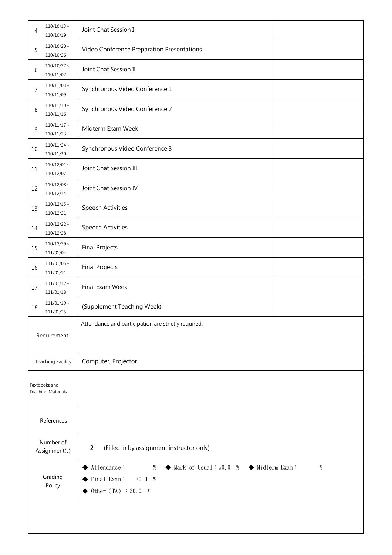| 4                                          | $110/10/13$ ~<br>110/10/19                                               | Joint Chat Session I                                                                                                                                            |  |  |  |
|--------------------------------------------|--------------------------------------------------------------------------|-----------------------------------------------------------------------------------------------------------------------------------------------------------------|--|--|--|
| 5                                          | $110/10/20$ ~<br>Video Conference Preparation Presentations<br>110/10/26 |                                                                                                                                                                 |  |  |  |
| 6                                          | $110/10/27$ ~<br>110/11/02                                               | Joint Chat Session II                                                                                                                                           |  |  |  |
| 7                                          | $110/11/03$ ~<br>110/11/09                                               | Synchronous Video Conference 1                                                                                                                                  |  |  |  |
| 8                                          | $110/11/10 \sim$<br>110/11/16                                            | Synchronous Video Conference 2                                                                                                                                  |  |  |  |
| 9                                          | $110/11/17$ ~<br>110/11/23                                               | Midterm Exam Week                                                                                                                                               |  |  |  |
| 10                                         | $110/11/24$ ~<br>110/11/30                                               | Synchronous Video Conference 3                                                                                                                                  |  |  |  |
| 11                                         | $110/12/01$ ~<br>110/12/07                                               | Joint Chat Session III                                                                                                                                          |  |  |  |
| 12                                         | $110/12/08 \sim$<br>110/12/14                                            | Joint Chat Session IV                                                                                                                                           |  |  |  |
| 13                                         | $110/12/15$ ~<br>110/12/21                                               | <b>Speech Activities</b>                                                                                                                                        |  |  |  |
| 14                                         | $110/12/22$ ~<br>110/12/28                                               | <b>Speech Activities</b>                                                                                                                                        |  |  |  |
| 15                                         | $110/12/29$ ~<br><b>Final Projects</b><br>111/01/04                      |                                                                                                                                                                 |  |  |  |
| 16                                         | $111/01/05$ ~<br><b>Final Projects</b><br>111/01/11                      |                                                                                                                                                                 |  |  |  |
| 17                                         | $111/01/12$ ~<br>Final Exam Week<br>111/01/18                            |                                                                                                                                                                 |  |  |  |
| 18                                         | $111/01/19 \sim$<br>(Supplement Teaching Week)<br>111/01/25              |                                                                                                                                                                 |  |  |  |
| Requirement                                |                                                                          | Attendance and participation are strictly required.                                                                                                             |  |  |  |
| <b>Teaching Facility</b>                   |                                                                          | Computer, Projector                                                                                                                                             |  |  |  |
| Textbooks and<br><b>Teaching Materials</b> |                                                                          |                                                                                                                                                                 |  |  |  |
| References                                 |                                                                          |                                                                                                                                                                 |  |  |  |
| Number of<br>Assignment(s)                 |                                                                          | (Filled in by assignment instructor only)<br>$\overline{2}$                                                                                                     |  |  |  |
| Grading<br>Policy                          |                                                                          | Attendance:<br>$\blacklozenge$ Mark of Usual: 50.0 % $\blacklozenge$ Midterm Exam:<br>$\%$<br>%<br>Final Exam:<br>20.0 %<br>Other $\langle TA \rangle$ : 30.0 % |  |  |  |
|                                            |                                                                          |                                                                                                                                                                 |  |  |  |